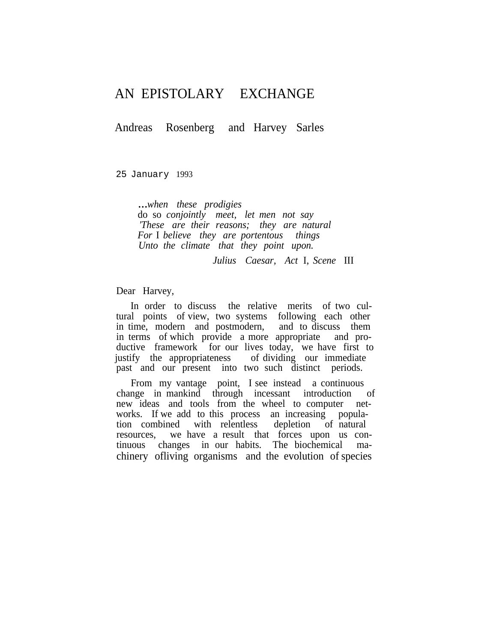# AN EPISTOLARY EXCHANGE

Andreas Rosenberg and Harvey Sarles

25 January 1993

...*when these prodigies* do so *conjointly meet, let men not say 'These are their reasons; they are natural For* I *believe they are portentous things Unto the climate that they point upon.*

*Julius Caesar, Act* I, *Scene* III

Dear Harvey,

In order to discuss the relative merits of two cultural points of view, two systems following each other in time, modern and postmodern, and to discuss them in terms of which provide a more appropriate and productive framework for our lives today, we have first to justify the appropriateness of dividing our immediate past and our present into two such distinct periods.

From my vantage point, I see instead a continuous change in mankind through incessant introduction of new ideas and tools from the wheel to computer networks. If we add to this process an increasing population combined with relentless depletion of natural resources, we have a result that forces upon us continuous changes in our habits. The biochemical machinery ofliving organisms and the evolution of species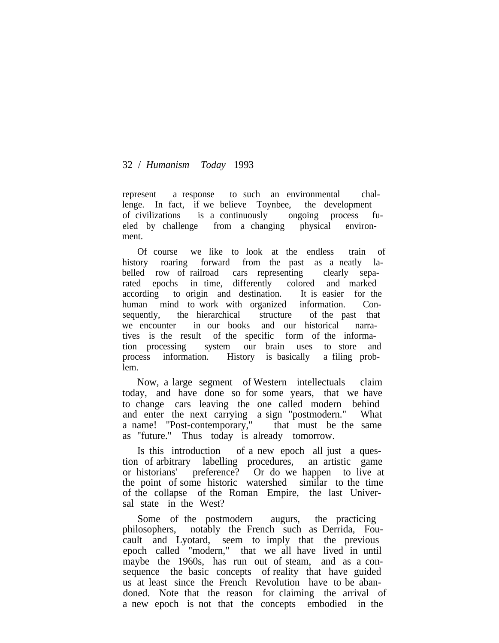represent a response to such an environmental challenge. In fact, if we believe Toynbee, the development of civilizations is a continuously ongoing process fueled by challenge from a changing physical environment.

Of course we like to look at the endless train of history roaring forward from the past as a neatly labelled row of railroad cars representing clearly separated epochs in time, differently colored and marked according to origin and destination. It is easier for the human mind to work with organized information. Consequently, the hierarchical structure of the past that we encounter in our books and our historical narratives is the result of the specific form of the information processing system our brain uses to store and process information. History is basically a filing problem.

Now, a large segment of Western intellectuals claim today, and have done so for some years, that we have to change cars leaving the one called modern behind and enter the next carrying a sign "postmodern." What a name! "Post-contemporary," that must be the same as "future." Thus today is already tomorrow.

Is this introduction of a new epoch all just a question of arbitrary labelling procedures, an artistic game or historians' preference? Or do we happen to live at the point of some historic watershed similar to the time of the collapse of the Roman Empire, the last Universal state in the West?

Some of the postmodern augurs, the practicing philosophers, notably the French such as Derrida, Foucault and Lyotard, seem to imply that the previous epoch called "modern," that we all have lived in until maybe the 1960s, has run out of steam, and as a consequence the basic concepts of reality that have guided us at least since the French Revolution have to be abandoned. Note that the reason for claiming the arrival of a new epoch is not that the concepts embodied in the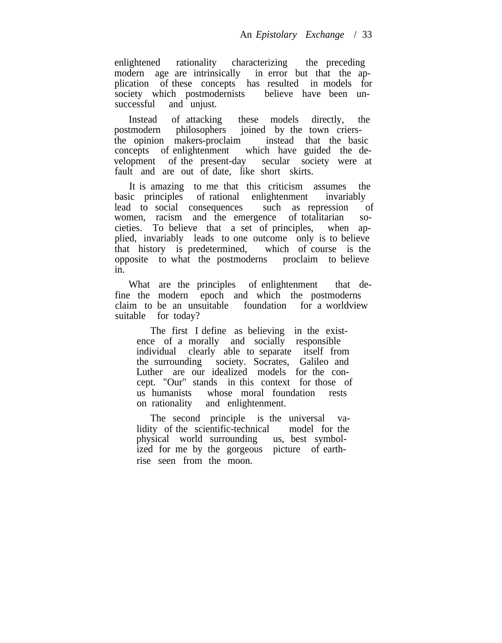enlightened rationality characterizing the preceding<br>modern age are intrinsically in error but that the apmodern age are intrinsically plication of these concepts has resulted in models for society which postmodernists believe have been un-<br>successful and uniust. and unjust.

Instead of attacking these models directly, the postmodern philosophers joined by the town criersthe opinion makers-proclaim instead that the basic concepts of enlightenment which have guided the development of the present-day secular society were at fault and are out of date, like short skirts.

It is amazing to me that this criticism assumes the basic principles of rational enlightenment invariably lead to social consequences such as repression of women, racism and the emergence of totalitarian societies. To believe that a set of principles, when applied, invariably leads to one outcome only is to believe that history is predetermined, which of course is the opposite to what the postmoderns proclaim to believe in.

What are the principles of enlightenment that define the modern epoch and which the postmoderns claim to be an unsuitable foundation for a worldview suitable for today?

The first I define as believing in the existence of a morally and socially responsible individual clearly able to separate itself from the surrounding society. Socrates, Galileo and Luther are our idealized models for the concept. "Our" stands in this context for those of us humanists whose moral foundation rests on rationality and enlightenment.

The second principle is the universal validity of the scientific-technical model for the physical world surrounding us, best symbolphysical world surrounding ized for me by the gorgeous picture of earthrise seen from the moon.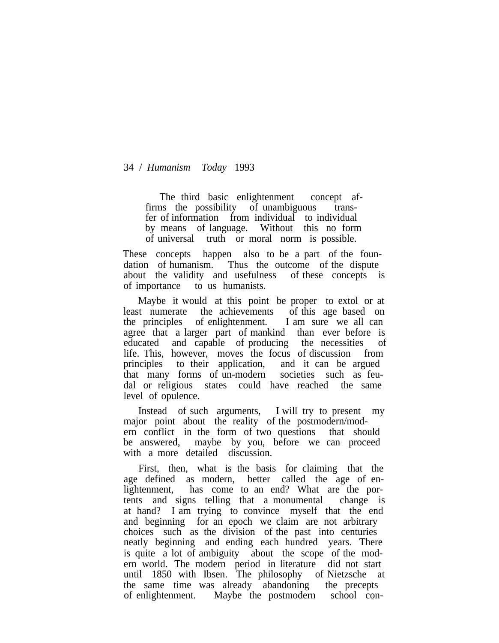The third basic enlightenment concept affirms the possibility of unambiguous transfer of information from individual to individual by means of language. Without this no form of universal truth or moral norm is possible.

These concepts happen also to be a part of the foundation of humanism. Thus the outcome of the dispute about the validity and usefulness of these concepts is of importance to us humanists.

Maybe it would at this point be proper to extol or at least numerate the achievements of this age based on the principles of enlightenment. I am sure we all can agree that a larger part of mankind than ever before is educated and capable of producing the necessities of life. This, however, moves the focus of discussion from principles to their application, and it can be argued that many forms of un-modern societies such as feudal or religious states could have reached the same level of opulence.

Instead of such arguments, I will try to present my major point about the reality of the postmodern/modern conflict in the form of two questions that should be answered, maybe by you, before we can proceed with a more detailed discussion.

First, then, what is the basis for claiming that the age defined as modern, better called the age of enlightenment, has come to an end? What are the portents and signs telling that a monumental change is at hand? I am trying to convince myself that the end and beginning for an epoch we claim are not arbitrary choices such as the division of the past into centuries neatly beginning and ending each hundred years. There is quite a lot of ambiguity about the scope of the modern world. The modern period in literature did not start until 1850 with Ibsen. The philosophy of Nietzsche at the same time was already abandoning the precepts of enlightenment. Maybe the postmodern school con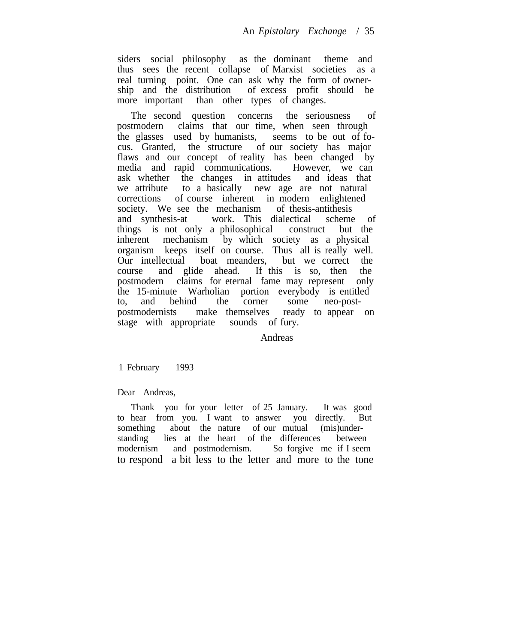siders social philosophy as the dominant theme and thus sees the recent collapse of Marxist societies as a real turning point. One can ask why the form of ownership and the distribution of excess profit should be more important than other types of changes.

The second question concerns the seriousness of postmodern claims that our time, when seen through the glasses used by humanists, seems to be out of focus. Granted, the structure of our society has major flaws and our concept of reality has been changed by media and rapid communications. However, we can ask whether the changes in attitudes and ideas that we attribute to a basically new age are not natural corrections of course inherent in modern enlightened society. We see the mechanism of thesis-antithesis society. We see the mechanism and synthesis-at work. This dialectical scheme of things is not only a philosophical construct but the inherent mechanism by which society as a physical organism keeps itself on course. Thus all is really well. Our intellectual boat meanders, but we correct the course and glide ahead. If this is so, then the postmodern claims for eternal fame may represent only the 15-minute Warholian portion everybody is entitled to, and behind the corner some neo-postpostmodernists make themselves ready to appear on stage with appropriate sounds of fury.

Andreas

1 February 1993

Dear Andreas,

Thank you for your letter of 25 January. It was good to hear from you. I want to answer you directly. But something about the nature of our mutual (mis)understanding lies at the heart of the differences between modernism and postmodernism. So forgive me if I seem to respond a bit less to the letter and more to the tone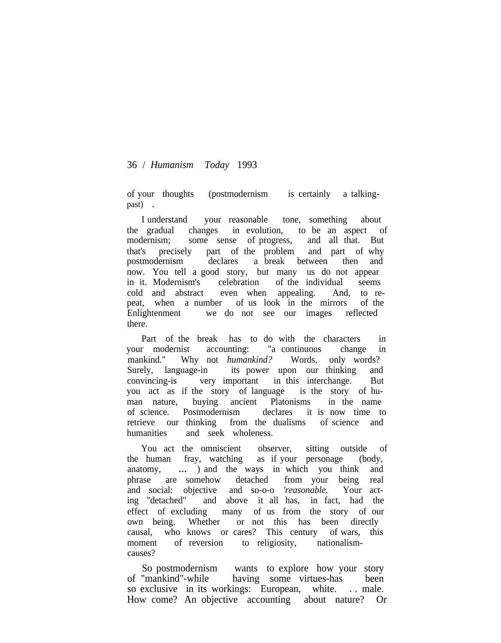of your thoughts (postmodernism is certainly a talkingpast) .

I understand your reasonable tone, something about the gradual changes in evolution, to be an aspect of modernism; some sense of progress, and all that. But that's precisely part of the problem and part of why postmodernism declares a break between then and now. You tell a good story, but many us do not appear in it. Modernism's celebration of the individual seems cold and abstract even when appealing. And, to repeat, when a number of us look in the mirrors of the Enlightenment we do not see our images reflected there.

Part of the break has to do with the characters in your modernist accounting: "a continuous change in mankind." Why not *humankind?* Words, only words? Surely, language-in its power upon our thinking and convincing-is very important in this interchange. But you act as if the story of language is the story of human nature, buying ancient Platonisms in the name of science. Postmodernism declares it is now time to retrieve our thinking from the dualisms of science and humanities and seek wholeness.

You act the omniscient observer, sitting outside of the human fray, watching as if your personage (body, anatomy, ... ) and the ways in which you think and phrase are somehow detached from your being real and social: objective and so-o-o *'reasonable.* Your acting "detached" and above it all has, in fact, had the effect of excluding many of us from the story of our own being. Whether or not this has been directly causal, who knows or cares? This century of wars, this moment of reversion to religiosity, nationalismcauses?

So postmodernism wants to explore how your story of "mankind"-while having some virtues-has been so exclusive in its workings: European, white. . . male. How come? An objective accounting about nature? Or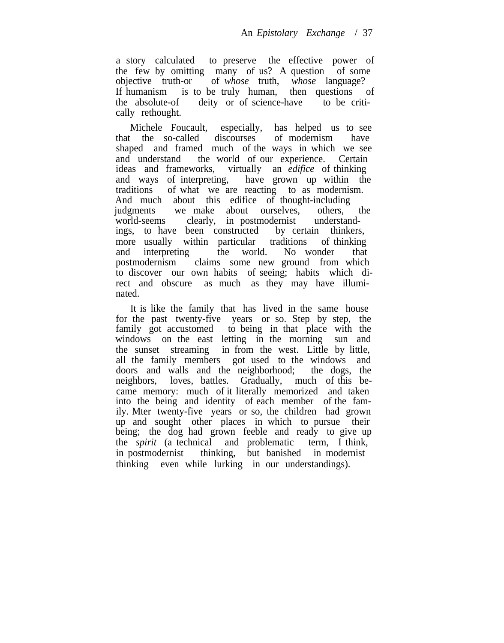a story calculated to preserve the effective power of the few by omitting many of us? A question of some objective truth-or of *whose* truth, *whose* language? of *whose* truth, *whose* language? If humanism is to be truly human, then questions of the absolute-of deity or of science-have to be critically rethought.

Michele Foucault, especially, has helped us to see<br>t the so-called discourses of modernism have that the so-called discourses of modernism have shaped and framed much of the ways in which we see and understand the world of our experience. Certain ideas and frameworks, virtually an *edifice* of thinking and ways of interpreting, have grown up within the traditions of what we are reacting to as modernism. And much about this edifice of thought-including judgments we make about ourselves, others, the world-seems clearly, in postmodernist understandings, to have been constructed by certain thinkers, more usually within particular traditions of thinking and interpreting the world. No wonder that postmodernism claims some new ground from which to discover our own habits of seeing; habits which direct and obscure as much as they may have illuminated.

It is like the family that has lived in the same house for the past twenty-five years or so. Step by step, the family got accustomed to being in that place with the windows on the east letting in the morning sun and the sunset streaming in from the west. Little by little, all the family members got used to the windows and doors and walls and the neighborhood; the dogs, the neighbors, loves, battles. Gradually, much of this became memory: much of it literally memorized and taken into the being and identity of each member of the family. Mter twenty-five years or so, the children had grown up and sought other places in which to pursue their being; the dog had grown feeble and ready to give up the *spirit* (a technical and problematic term, I think, in postmodernist thinking, but banished in modernist thinking even while lurking in our understandings).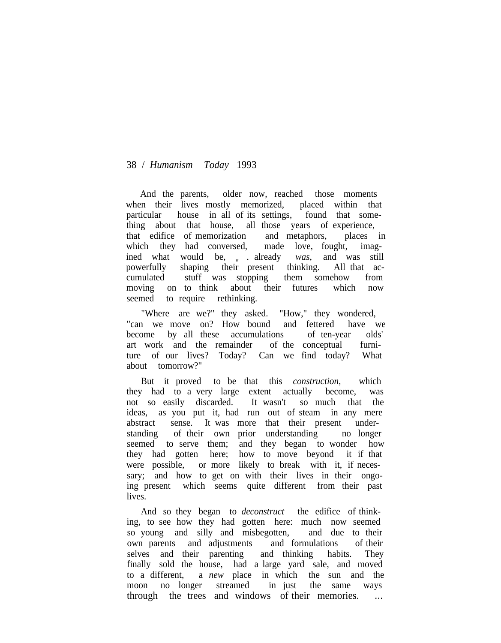And the parents, older now, reached those moments when their lives mostly memorized, placed within that particular house in all of its settings, found that something about that house, all those years of experience, that edifice of memorization and metaphors, places in which they had conversed, made love, fought, imagined what would be, . . already<br>powerfully shaping their present t was, and was still shaping their present thinking. All that accumulated stuff was stopping them somehow from moving on to think about their futures which now seemed to require rethinking.

"Where are we?" they asked. "How," they wondered, "can we move on? How bound and fettered have we become by all these accumulations of ten-year olds' art work and the remainder of the conceptual furniture of our lives? Today? Can we find today? What about tomorrow?"

But it proved to be that this *construction,* which they had to a very large extent actually become, was not so easily discarded. It wasn't so much that the ideas, as you put it, had run out of steam in any mere abstract sense. It was more that their present understanding of their own prior understanding no longer seemed to serve them; and they began to wonder how they had gotten here; how to move beyond it if that were possible, or more likely to break with it, if necessary; and how to get on with their lives in their ongoing present which seems quite different from their past lives.

And so they began to *deconstruct* the edifice of thinking, to see how they had gotten here: much now seemed so young and silly and misbegotten, and due to their own parents and adjustments and formulations of their selves and their parenting and thinking habits. They finally sold the house, had a large yard sale, and moved to a different, a *new* place in which the sun and the moon no longer streamed in just the same ways through the trees and windows of their memories. ...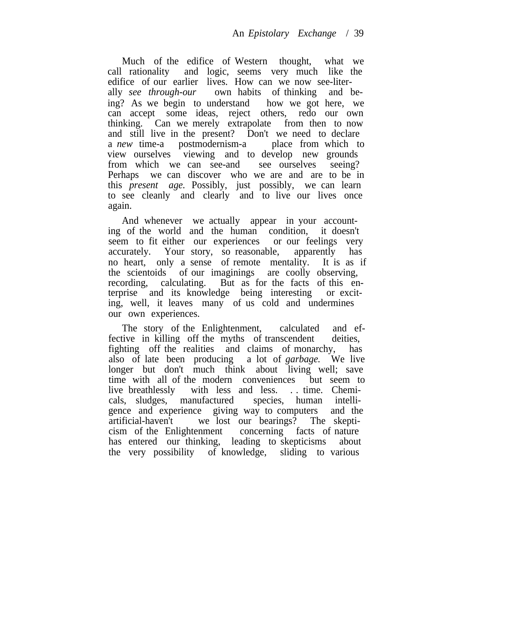Much of the edifice of Western thought, what we call rationality and logic, seems very much like the edifice of our earlier lives. How can we now see-literally *see through-our* own habits of thinking and being? As we begin to understand how we got here, we can accept some ideas, reject others, redo our own thinking. Can we merely extrapolate from then to now and still live in the present? Don't we need to declare a *new* time-a postmodernism-a place from which to a *new* time-a postmodernism-a view ourselves viewing and to develop new grounds from which we can see-and see ourselves seeing? Perhaps we can discover who we are and are to be in this *present age.* Possibly, just possibly, we can learn to see cleanly and clearly and to live our lives once again.

And whenever we actually appear in your accounting of the world and the human condition, it doesn't seem to fit either our experiences or our feelings very accurately. Your story, so reasonable, apparently has no heart, only a sense of remote mentality. It is as if the scientoids of our imaginings are coolly observing, recording, calculating. But as for the facts of this enterprise and its knowledge being interesting or exciting, well, it leaves many of us cold and undermines our own experiences.

The story of the Enlightenment, calculated and effective in killing off the myths of transcendent deities, fighting off the realities and claims of monarchy, has also of late been producing a lot of *garbage.* We live longer but don't much think about living well; save time with all of the modern conveniences but seem to live breathlessly with less and less. . . time. Chemiwith less and less. . . time. Chemicals, sludges, manufactured species, human intelligence and experience giving way to computers and the artificial-haven't we lost our bearings? The skepticism of the Enlightenment concerning facts of nature has entered our thinking, leading to skepticisms about the very possibility of knowledge, sliding to various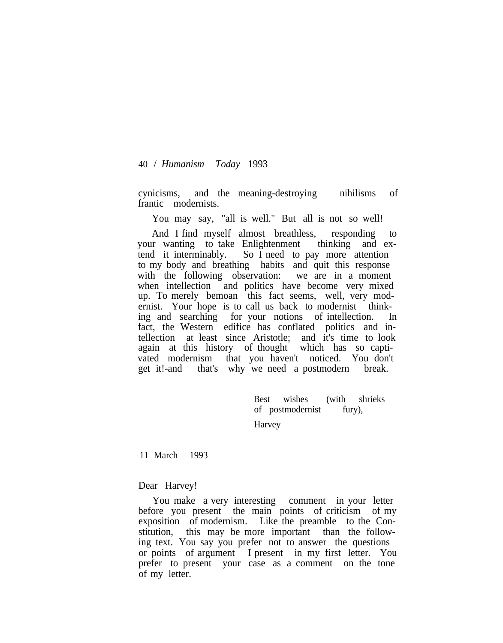cynicisms, and the meaning-destroying nihilisms of frantic modernists.

You may say, "all is well." But all is not so well!

And I find myself almost breathless, responding to your wanting to take Enlightenment thinking and extend it interminably. So I need to pay more attention to my body and breathing habits and quit this response with the following observation: we are in a moment when intellection and politics have become very mixed up. To merely bemoan this fact seems, well, very modernist. Your hope is to call us back to modernist thinking and searching for your notions of intellection. In fact, the Western edifice has conflated politics and intellection at least since Aristotle; and it's time to look again at this history of thought which has so captivated modernism that you haven't noticed. You don't get it!-and that's why we need a postmodern break.

> Best wishes (with shrieks of postmodernist fury),

Harvey

11 March 1993

# Dear Harvey!

You make a very interesting comment in your letter before you present the main points of criticism of my exposition of modernism. Like the preamble to the Constitution, this may be more important than the following text. You say you prefer not to answer the questions or points of argument I present in my first letter. You prefer to present your case as a comment on the tone of my letter.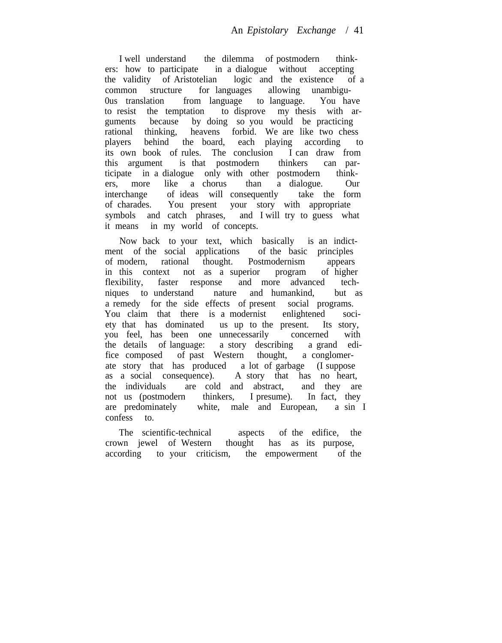I well understand the dilemma of postmodern thinkers: how to participate in a dialogue without accepting the validity of Aristotelian logic and the existence of a common structure for languages allowing unambigu-0us translation from language to language. You have to resist the temptation to disprove my thesis with arguments because by doing so you would be practicing rational thinking, heavens forbid. We are like two chess players behind the board, each playing according to its own book of rules. The conclusion I can draw from this argument is that postmodern thinkers can participate in a dialogue only with other postmodern thinkers, more like a chorus than a dialogue. Our interchange of ideas will consequently take the form of charades. You present your story with appropriate symbols and catch phrases, and I will try to guess what it means in my world of concepts.

Now back to your text, which basically is an indictment of the social applications of the basic principles of modern, rational thought. Postmodernism appears in this context not as a superior program of higher flexibility, faster response and more advanced techniques to understand nature and humankind, but as a remedy for the side effects of present social programs. You claim that there is a modernist enlightened society that has dominated us up to the present. Its story, you feel, has been one unnecessarily concerned with the details of language: a story describing a grand edifice composed of past Western thought, a conglomerate story that has produced a lot of garbage (I suppose as a social consequence). A story that has no heart, the individuals are cold and abstract, and they are not us (postmodern thinkers, I presume). In fact, they are predominately white, male and European, a sin I confess to.

The scientific-technical aspects of the edifice, the crown jewel of Western thought has as its purpose, according to your criticism, the empowerment of the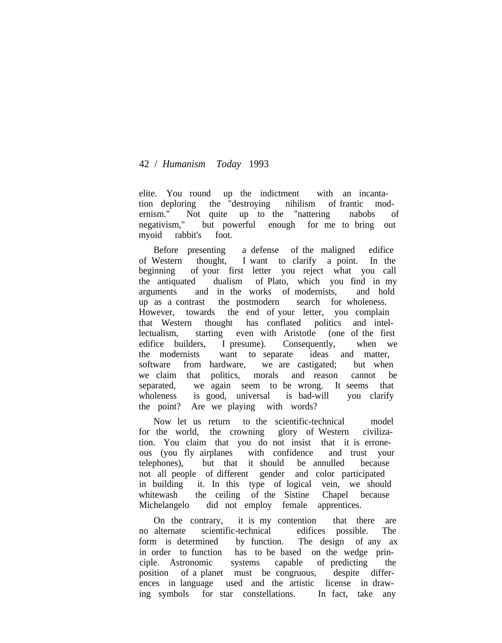elite. You round up the indictment with an incantation deploring the "destroying nihilism of frantic modernism." Not quite up to the "nattering nabobs of negativism," but powerful enough for me to bring out myoid rabbit's foot.

Before presenting a defense of the maligned edifice of Western thought, I want to clarify a point. In the beginning of your first letter you reject what you call the antiquated dualism of Plato, which you find in my arguments and in the works of modernists, and hold up as a contrast the postmodern search for wholeness. However, towards the end of your letter, you complain that Western thought has conflated politics and intellectualism, starting even with Aristotle (one of the first edifice builders, I presume). Consequently, when we the modernists want to separate ideas and matter, software from hardware, we are castigated; but when we claim that politics, morals and reason cannot be separated, we again seem to be wrong. It seems that wholeness is good, universal is bad-will you clarify the point? Are we playing with words?

Now let us return to the scientific-technical model for the world, the crowning glory of Western civilization. You claim that you do not insist that it is erroneous (you fly airplanes with confidence and trust your telephones), but that it should be annulled because not all people of different gender and color participated in building it. In this type of logical vein, we should whitewash the ceiling of the Sistine Chapel because Michelangelo did not employ female apprentices.

On the contrary, it is my contention that there are no alternate scientific-technical edifices possible. The form is determined by function. The design of any ax in order to function has to be based on the wedge principle. Astronomic systems capable of predicting the position of a planet must be congruous, despite differences in language used and the artistic license in drawing symbols for star constellations. In fact, take any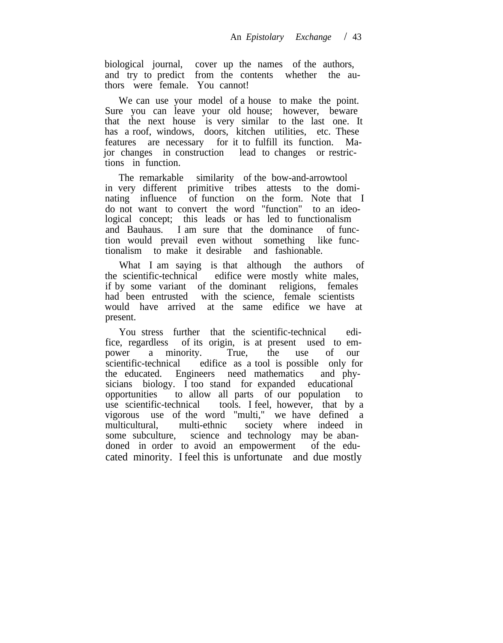biological journal, cover up the names of the authors, and try to predict from the contents whether the authors were female. You cannot!

We can use your model of a house to make the point. Sure you can leave your old house; however, beware that the next house is very similar to the last one. It has a roof, windows, doors, kitchen utilities, etc. These features are necessary for it to fulfill its function. Major changes in construction lead to changes or restrictions in function.

The remarkable similarity of the bow-and-arrowtool in very different primitive tribes attests to the dominating influence of function on the form. Note that I do not want to convert the word "function" to an ideological concept; this leads or has led to functionalism and Bauhaus. I am sure that the dominance of function would prevail even without something like functionalism to make it desirable and fashionable.

What I am saying is that although the authors of the scientific-technical edifice were mostly white males, if by some variant of the dominant religions, females had been entrusted with the science, female scientists would have arrived at the same edifice we have at present.

You stress further that the scientific-technical edifice, regardless of its origin, is at present used to empower a minority. True, the use of our scientific-technical edifice as a tool is possible only for the educated. Engineers need mathematics and physicians biology. I too stand for expanded educational opportunities to allow all parts of our population to use scientific-technical tools. I feel, however, that by a vigorous use of the word "multi," we have defined a multicultural, multi-ethnic society where indeed in some subculture, science and technology may be abandoned in order to avoid an empowerment of the educated minority. I feel this is unfortunate and due mostly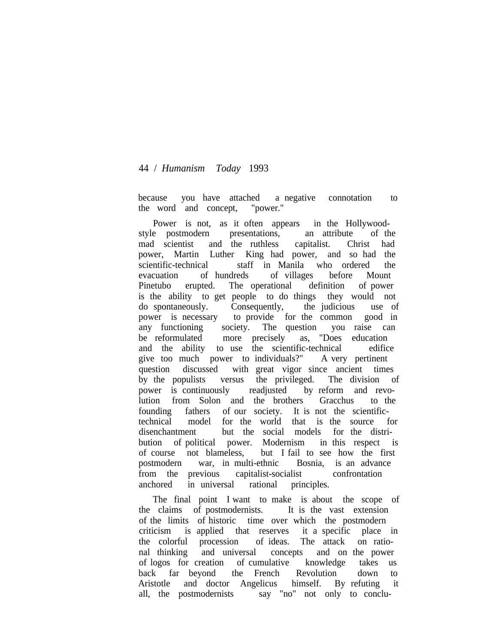because you have attached a negative connotation to the word and concept, "power."

Power is not, as it often appears in the Hollywoodstyle postmodern presentations, an attribute of the mad scientist and the ruthless capitalist. Christ had power, Martin Luther King had power, and so had the scientific-technical staff in Manila who ordered the evacuation of hundreds of villages before Mount Pinetubo erupted. The operational definition of power is the ability to get people to do things they would not do spontaneously. Consequently, the judicious use of power is necessary to provide for the common good in any functioning society. The question you raise can be reformulated more precisely as, "Does education and the ability to use the scientific-technical edifice give too much power to individuals?" A very pertinent question discussed with great vigor since ancient times by the populists versus the privileged. The division of power is continuously readjusted by reform and revolution from Solon and the brothers Gracchus to the founding fathers of our society. It is not the scientifictechnical model for the world that is the source for disenchantment but the social models for the distribution of political power. Modernism in this respect is of course not blameless, but I fail to see how the first postmodern war, in multi-ethnic Bosnia, is an advance from the previous capitalist-socialist confrontation anchored in universal rational principles.

The final point I want to make is about the scope of the claims of postmodernists. It is the vast extension of the limits of historic time over which the postmodern criticism is applied that reserves it a specific place in the colorful procession of ideas. The attack on rational thinking and universal concepts and on the power of logos for creation of cumulative knowledge takes us back far beyond the French Revolution down to Aristotle and doctor Angelicus himself. By refuting it all, the postmodernists say "no" not only to conclu-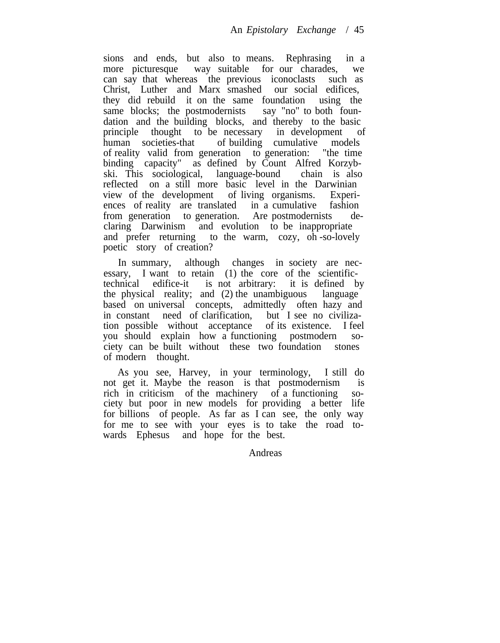sions and ends, but also to means. Rephrasing in a more picturesque way suitable for our charades, we can say that whereas the previous iconoclasts such as Christ, Luther and Marx smashed our social edifices, they did rebuild it on the same foundation using the same blocks; the postmodernists say "no" to both founsame blocks; the postmodernists dation and the building blocks, and thereby to the basic principle thought to be necessary in development of human societies-that of building cumulative models of reality valid from generation to generation: "the time binding capacity" as defined by Count Alfred Korzybski. This sociological, language-bound chain is also reflected on a still more basic level in the Darwinian view of the development of living organisms. Experiences of reality are translated in a cumulative fashion from generation to generation. Are postmodernists declaring Darwinism and evolution to be inappropriate and prefer returning to the warm, cozy, oh -so-lovely poetic story of creation?

In summary, although changes in society are necessary, I want to retain (1) the core of the scientifictechnical edifice-it is not arbitrary: it is defined by the physical reality; and (2) the unambiguous language based on universal concepts, admittedly often hazy and in constant need of clarification, but I see no civilization possible without acceptance of its existence. I feel you should explain how a functioning postmodern society can be built without these two foundation stones of modern thought.

As you see, Harvey, in your terminology, I still do not get it. Maybe the reason is that postmodernism is rich in criticism of the machinery of a functioning society but poor in new models for providing a better life for billions of people. As far as I can see, the only way for me to see with your eyes is to take the road towards Ephesus and hope for the best.

Andreas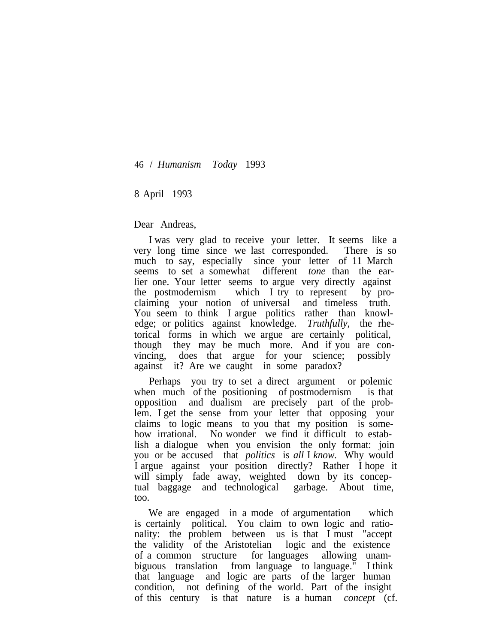8 April 1993

Dear Andreas,

I was very glad to receive your letter. It seems like a very long time since we last corresponded. There is so much to say, especially since your letter of 11 March seems to set a somewhat different *tone* than the earlier one. Your letter seems to argue very directly against the postmodernism which I try to represent by proclaiming your notion of universal and timeless truth. You seem to think I argue politics rather than knowledge; or politics against knowledge. *Truthfully,* the rhetorical forms in which we argue are certainly political, though they may be much more. And if you are convincing, does that argue for your science; possibly against it? Are we caught in some paradox?

Perhaps you try to set a direct argument or polemic when much of the positioning of postmodernism is that opposition and dualism are precisely part of the problem. I get the sense from your letter that opposing your claims to logic means to you that my position is somehow irrational. No wonder we find it difficult to establish a dialogue when you envision the only format: join you or be accused that *politics* is *all* I *know.* Why would I argue against your position directly? Rather I hope it will simply fade away, weighted down by its conceptual baggage and technological garbage. About time, too.

We are engaged in a mode of argumentation which is certainly political. You claim to own logic and rationality: the problem between us is that I must "accept the validity of the Aristotelian logic and the existence of a common structure for languages allowing unambiguous translation from language to language." I think that language and logic are parts of the larger human condition, not defining of the world. Part of the insight of this century is that nature is a human *concept* (cf.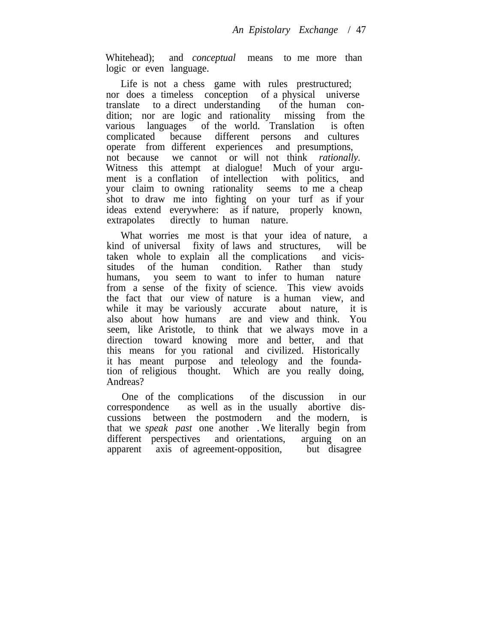Whitehead); and *conceptual* means to me more than logic or even language.

Life is not a chess game with rules prestructured; nor does a timeless conception of a physical universe translate to a direct understanding of the human condition; nor are logic and rationality missing from the various languages of the world. Translation is often complicated because different persons and cultures operate from different experiences and presumptions, not because we cannot or will not think *rationally.* Witness this attempt at dialogue! Much of your argument is a conflation of intellection with politics, and your claim to owning rationality seems to me a cheap shot to draw me into fighting on your turf as if your ideas extend everywhere: as if nature, properly known, extrapolates directly to human nature.

What worries me most is that your idea of nature, a kind of universal fixity of laws and structures, will be taken whole to explain all the complications and vicissitudes of the human condition. Rather than study humans, you seem to want to infer to human nature from a sense of the fixity of science. This view avoids the fact that our view of nature is a human view, and while it may be variously accurate about nature, it is also about how humans are and view and think. You seem, like Aristotle, to think that we always move in a direction toward knowing more and better, and that this means for you rational and civilized. Historically it has meant purpose and teleology and the foundation of religious thought. Which are you really doing, Andreas?

One of the complications of the discussion in our correspondence as well as in the usually abortive discussions between the postmodern and the modern, is that we *speak past* one another . We literally begin from different perspectives and orientations, arguing on an apparent axis of agreement-opposition, but disagree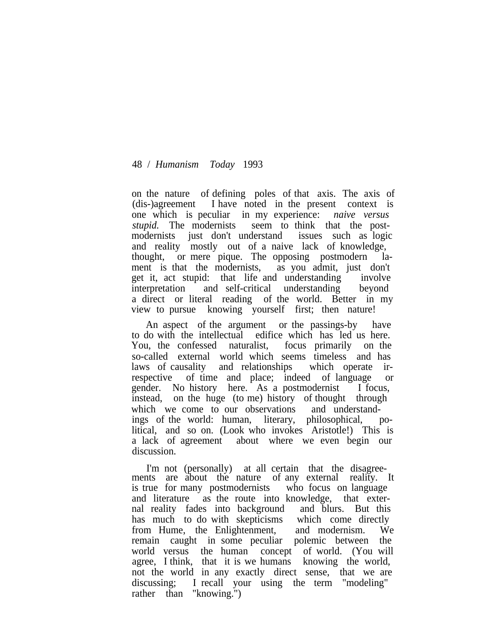on the nature of defining poles of that axis. The axis of (dis-)agreement I have noted in the present context is one which is peculiar in my experience: *naive versus stupid.* The modernists seem to think that the postmodernists just don't understand issues such as logic and reality mostly out of a naive lack of knowledge, thought, or mere pique. The opposing postmodern lament is that the modernists, as you admit, just don't get it, act stupid: that life and understanding involve interpretation and self-critical understanding beyond a direct or literal reading of the world. Better in my view to pursue knowing yourself first; then nature!

An aspect of the argument or the passings-by have to do with the intellectual edifice which has led us here. You, the confessed naturalist, focus primarily on the so-called external world which seems timeless and has laws of causality and relationships which operate irrespective of time and place; indeed of language or gender. No history here. As a postmodernist I focus, instead, on the huge (to me) history of thought through which we come to our observations and understandings of the world: human, literary, philosophical, political, and so on. (Look who invokes Aristotle!) This is a lack of agreement about where we even begin our discussion.

I'm not (personally) at all certain that the disagreements are about the nature of any external reality. It is true for many postmodernists who focus on language and literature as the route into knowledge, that external reality fades into background and blurs. But this has much to do with skepticisms which come directly from Hume, the Enlightenment, and modernism. We remain caught in some peculiar polemic between the world versus the human concept of world. (You will agree, I think, that it is we humans knowing the world, not the world in any exactly direct sense, that we are discussing; I recall your using the term "modeling" rather than "knowing.")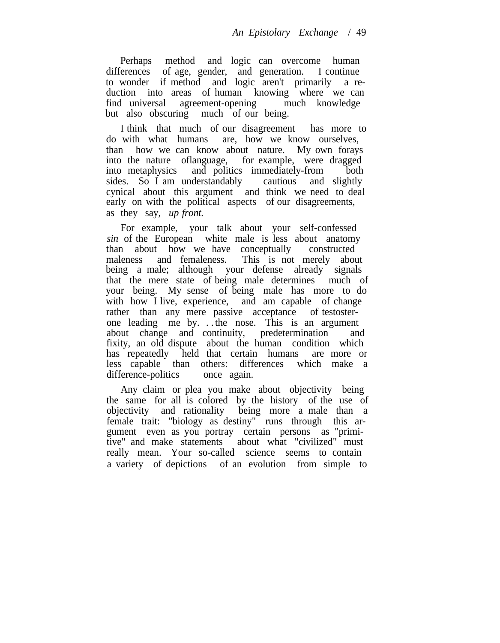Perhaps method and logic can overcome human differences of age, gender, and generation. I continue to wonder if method and logic aren't primarily a reduction into areas of human knowing where we can find universal agreement-opening much knowledge but also obscuring much of our being.

I think that much of our disagreement has more to do with what humans are, how we know ourselves, than how we can know about nature. My own forays into the nature oflanguage, for example, were dragged into metaphysics and politics immediately-from both sides. So I am understandably cautious and slightly sides. So I am understandably cautious and slightly cynical about this argument and think we need to deal early on with the political aspects of our disagreements, as they say, *up front.*

For example, your talk about your self-confessed *sin* of the European white male is less about anatomy than about how we have conceptually constructed maleness and femaleness. This is not merely about being a male; although your defense already signals that the mere state of being male determines much of your being. My sense of being male has more to do with how I live, experience, and am capable of change rather than any mere passive acceptance of testosterone leading me by. . . the nose. This is an argument about change and continuity, predetermination and fixity, an old dispute about the human condition which has repeatedly held that certain humans are more or less capable than others: differences which make a difference-politics once again.

Any claim or plea you make about objectivity being the same for all is colored by the history of the use of objectivity and rationality being more a male than a female trait: "biology as destiny" runs through this argument even as you portray certain persons as "primitive" and make statements about what "civilized" must really mean. Your so-called science seems to contain a variety of depictions of an evolution from simple to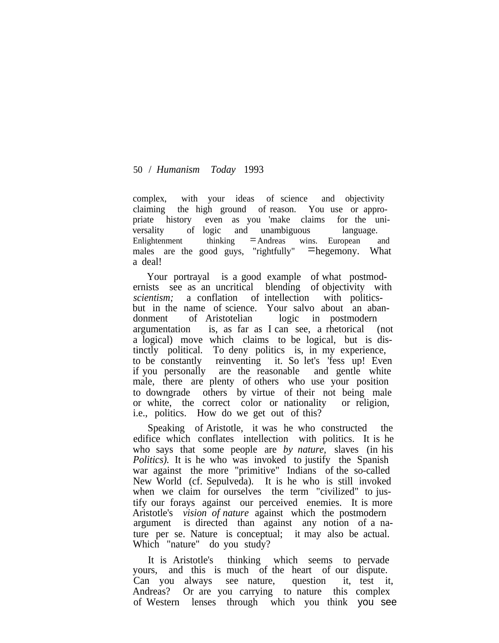complex, with your ideas of science and objectivity claiming the high ground of reason. You use or appropriate history even as you 'make claims for the universality of logic and unambiguous language. Enlightenment thinking  $=$ Andreas wins. European and males are the good guys, "rightfully"  $\equiv$  hegemony. What a deal!

Your portrayal is a good example of what postmodernists see as an uncritical blending of objectivity with *scientism;* a conflation of intellection with politicsbut in the name of science. Your salvo about an abandonment of Aristotelian logic in postmodern argumentation is, as far as I can see, a rhetorical (not a logical) move which claims to be logical, but is distinctly political. To deny politics is, in my experience, to be constantly reinventing it. So let's 'fess up! Even if you personally are the reasonable and gentle white male, there are plenty of others who use your position to downgrade others by virtue of their not being male or white, the correct color or nationality or religion, i.e., politics. How do we get out of this?

Speaking of Aristotle, it was he who constructed the edifice which conflates intellection with politics. It is he who says that some people are *by nature,* slaves (in his *Politics).* It is he who was invoked to justify the Spanish war against the more "primitive" Indians of the so-called New World (cf. Sepulveda). It is he who is still invoked when we claim for ourselves the term "civilized" to justify our forays against our perceived enemies. It is more Aristotle's *vision of nature* against which the postmodern argument is directed than against any notion of a nature per se. Nature is conceptual; it may also be actual. Which "nature" do you study?

It is Aristotle's thinking which seems to pervade yours, and this is much of the heart of our dispute. Can you always see nature, question it, test it, Andreas? Or are you carrying to nature this complex of Western lenses through which you think you see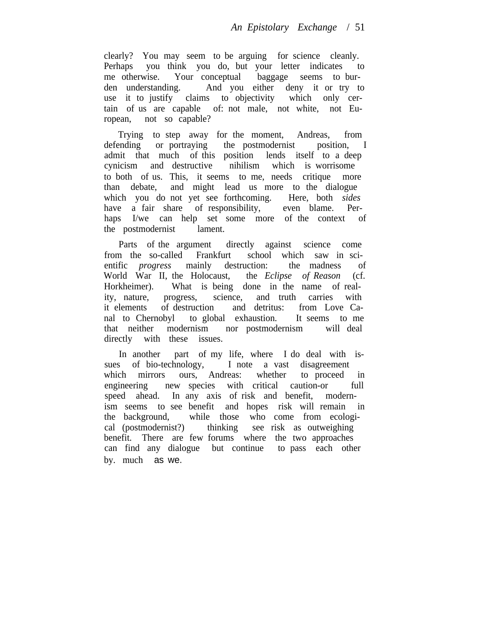clearly? You may seem to be arguing for science cleanly. Perhaps you think you do, but your letter indicates to me otherwise. Your conceptual baggage seems to burden understanding. And you either deny it or try to use it to justify claims to objectivity which only certain of us are capable of: not male, not white, not European, not so capable?

Trying to step away for the moment, Andreas, from defending or portraying the postmodernist position, I admit that much of this position lends itself to a deep cynicism and destructive nihilism which is worrisome to both of us. This, it seems to me, needs critique more than debate, and might lead us more to the dialogue which you do not yet see forthcoming. Here, both *sides* have a fair share of responsibility, even blame. Perhaps I/we can help set some more of the context of the postmodernist lament.

Parts of the argument directly against science come from the so-called Frankfurt school which saw in scientific *progress* mainly destruction: the madness of World War II, the Holocaust, the *Eclipse of Reason* (cf. Horkheimer). What is being done in the name of reality, nature, progress, science, and truth carries with it elements of destruction and detritus: from Love Canal to Chernobyl to global exhaustion. It seems to me that neither modernism nor postmodernism will deal directly with these issues.

In another part of my life, where I do deal with issues of bio-technology, I note a vast disagreement which mirrors ours, Andreas: whether to proceed in engineering new species with critical caution-or full speed ahead. In any axis of risk and benefit, modernism seems to see benefit and hopes risk will remain in the background, while those who come from ecological (postmodernist?) thinking see risk as outweighing benefit. There are few forums where the two approaches can find any dialogue but continue to pass each other by. much as we.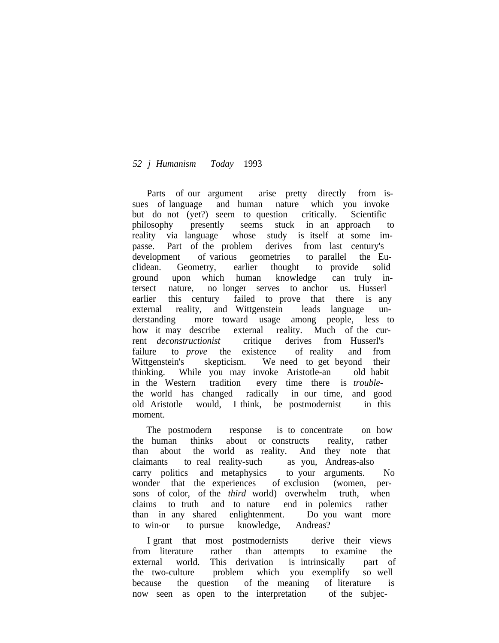Parts of our argument arise pretty directly from issues of language and human nature which you invoke but do not (yet?) seem to question critically. Scientific philosophy presently seems stuck in an approach to reality via language whose study is itself at some impasse. Part of the problem derives from last century's development of various geometries to parallel the Euclidean. Geometry, earlier thought to provide solid ground upon which human knowledge can truly intersect nature, no longer serves to anchor us. Husserl earlier this century failed to prove that there is any external reality, and Wittgenstein leads language understanding more toward usage among people, less to how it may describe external reality. Much of the current *deconstructionist* critique derives from Husserl's failure to *prove* the existence of reality and from Wittgenstein's skepticism. We need to get beyond their thinking. While you may invoke Aristotle-an old habit in the Western tradition every time there is *trouble*the world has changed radically in our time, and good old Aristotle would, I think, be postmodernist in this moment.

The postmodern response is to concentrate on how the human thinks about or constructs reality, rather than about the world as reality. And they note that claimants to real reality-such as you, Andreas-also carry politics and metaphysics to your arguments. No wonder that the experiences of exclusion (women, persons of color, of the *third* world) overwhelm truth, when claims to truth and to nature end in polemics rather than in any shared enlightenment. Do you want more to win-or to pursue knowledge, Andreas?

I grant that most postmodernists derive their views from literature rather than attempts to examine the external world. This derivation is intrinsically part of the two-culture problem which you exemplify so well because the question of the meaning of literature is now seen as open to the interpretation of the subjec-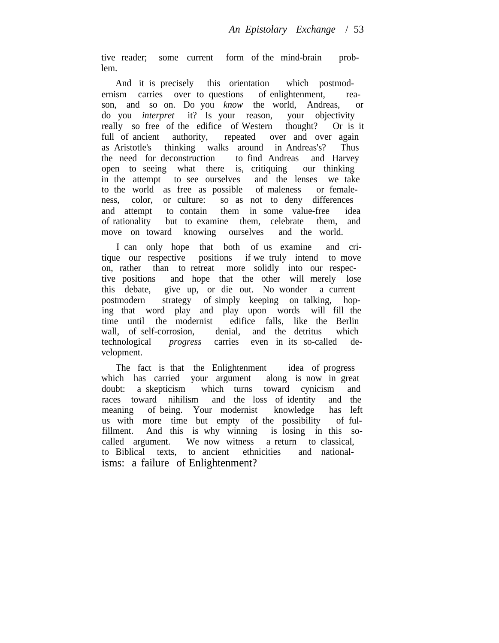tive reader; some current form of the mind-brain problem.

And it is precisely this orientation which postmodernism carries over to questions of enlightenment, reason, and so on. Do you *know* the world, Andreas, or do you *interpret* it? Is your reason, your objectivity really so free of the edifice of Western thought? Or is it full of ancient authority, repeated over and over again as Aristotle's thinking walks around in Andreas's? Thus the need for deconstruction to find Andreas and Harvey open to seeing what there is, critiquing our thinking in the attempt to see ourselves and the lenses we take to the world as free as possible of maleness or femaleness, color, or culture: so as not to deny differences and attempt to contain them in some value-free idea of rationality but to examine them, celebrate them, and move on toward knowing ourselves and the world.

I can only hope that both of us examine and critique our respective positions if we truly intend to move on, rather than to retreat more solidly into our respective positions and hope that the other will merely lose this debate, give up, or die out. No wonder a current postmodern strategy of simply keeping on talking, hoping that word play and play upon words will fill the time until the modernist edifice falls, like the Berlin wall. of self-corrosion, denial, and the detritus which wall, of self-corrosion, denial, and the detritus technological *progress* carries even in its so-called development.

The fact is that the Enlightenment idea of progress which has carried your argument along is now in great doubt: a skepticism which turns toward cynicism and races toward nihilism and the loss of identity and the meaning of being. Your modernist knowledge has left us with more time but empty of the possibility of fulfillment. And this is why winning is losing in this socalled argument. We now witness a return to classical, to Biblical texts, to ancient ethnicities and nationalisms: a failure of Enlightenment?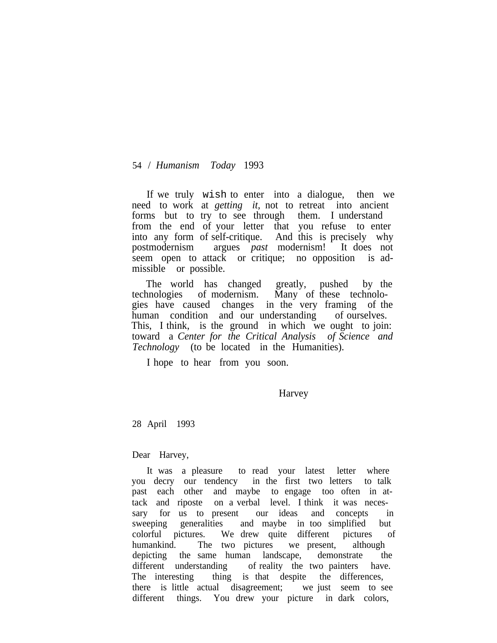If we truly wish to enter into a dialogue, then we need to work at *getting it,* not to retreat into ancient forms but to try to see through them. I understand from the end of your letter that you refuse to enter into any form of self-critique. And this is precisely why postmodernism argues *past* modernism! It does not seem open to attack or critique; no opposition is admissible or possible.

The world has changed greatly, pushed by the technologies of modernism. Many of these technologies have caused changes in the very framing of the human condition and our understanding of ourselves. This, I think, is the ground in which we ought to join: toward a *Center for the Critical Analysis of Science and Technology* (to be located in the Humanities).

I hope to hear from you soon.

Harvey

28 April 1993

Dear Harvey,

It was a pleasure to read your latest letter where you decry our tendency in the first two letters to talk past each other and maybe to engage too often in attack and riposte on a verbal level. I think it was necessary for us to present our ideas and concepts in sweeping generalities and maybe in too simplified but colorful pictures. We drew quite different pictures of humankind. The two pictures we present, although depicting the same human landscape, demonstrate the different understanding of reality the two painters have. The interesting thing is that despite the differences, there is little actual disagreement; we just seem to see different things. You drew your picture in dark colors,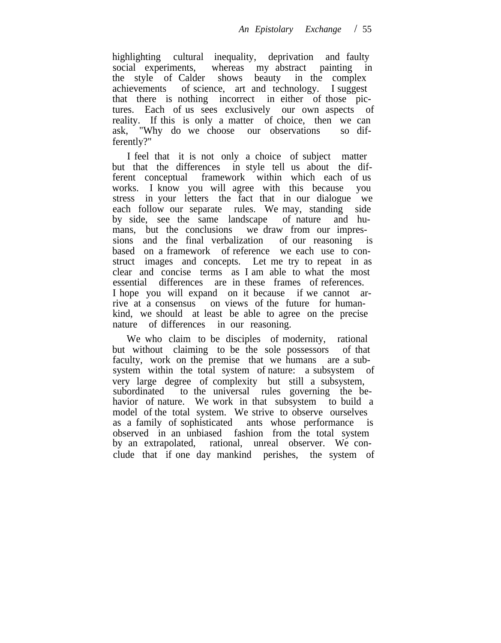highlighting cultural inequality, deprivation and faulty social experiments, whereas my abstract painting in the style of Calder shows beauty in the complex achievements of science, art and technology. I suggest that there is nothing incorrect in either of those pictures. Each of us sees exclusively our own aspects of reality. If this is only a matter of choice, then we can ask, "Why do we choose our observations so differently?"

I feel that it is not only a choice of subject matter but that the differences in style tell us about the different conceptual framework within which each of us works. I know you will agree with this because you stress in your letters the fact that in our dialogue we each follow our separate rules. We may, standing side by side, see the same landscape of nature and humans, but the conclusions we draw from our impressions and the final verbalization of our reasoning is based on a framework of reference we each use to construct images and concepts. Let me try to repeat in as clear and concise terms as I am able to what the most essential differences are in these frames of references. I hope you will expand on it because if we cannot arrive at a consensus on views of the future for humankind, we should at least be able to agree on the precise nature of differences in our reasoning.

We who claim to be disciples of modernity, rational but without claiming to be the sole possessors of that faculty, work on the premise that we humans are a subsystem within the total system of nature: a subsystem of very large degree of complexity but still a subsystem, subordinated to the universal rules governing the behavior of nature. We work in that subsystem to build a model of the total system. We strive to observe ourselves as a family of sophisticated ants whose performance is observed in an unbiased fashion from the total system by an extrapolated, rational, unreal observer. We conclude that if one day mankind perishes, the system of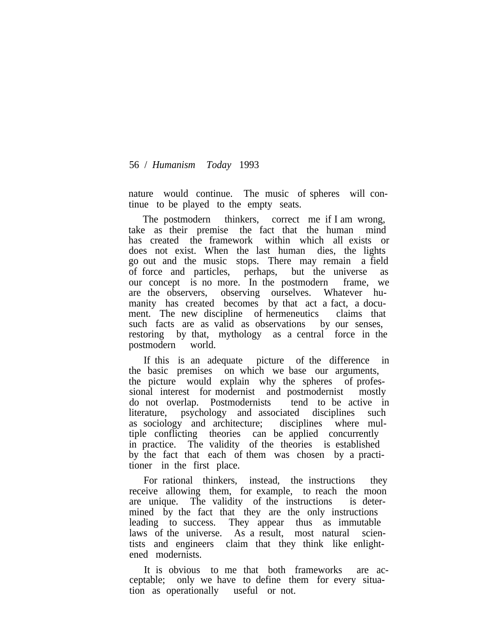nature would continue. The music of spheres will continue to be played to the empty seats.

The postmodern thinkers, correct me if I am wrong, take as their premise the fact that the human mind has created the framework within which all exists or does not exist. When the last human dies, the lights go out and the music stops. There may remain a field of force and particles, perhaps, but the universe as our concept is no more. In the postmodern frame, we are the observers, observing ourselves. Whatever humanity has created becomes by that act a fact, a document. The new discipline of hermeneutics claims that such facts are as valid as observations by our senses, restoring by that, mythology as a central force in the postmodern world.

If this is an adequate picture of the difference in the basic premises on which we base our arguments, the picture would explain why the spheres of professional interest for modernist and postmodernist mostly do not overlap. Postmodernists tend to be active in literature, psychology and associated disciplines such as sociology and architecture; disciplines where multiple conflicting theories can be applied concurrently in practice. The validity of the theories is established by the fact that each of them was chosen by a practitioner in the first place.

For rational thinkers, instead, the instructions they receive allowing them, for example, to reach the moon are unique. The validity of the instructions is determined by the fact that they are the only instructions leading to success. They appear thus as immutable laws of the universe. As a result, most natural scientists and engineers claim that they think like enlightened modernists.

It is obvious to me that both frameworks are acceptable; only we have to define them for every situation as operationally useful or not.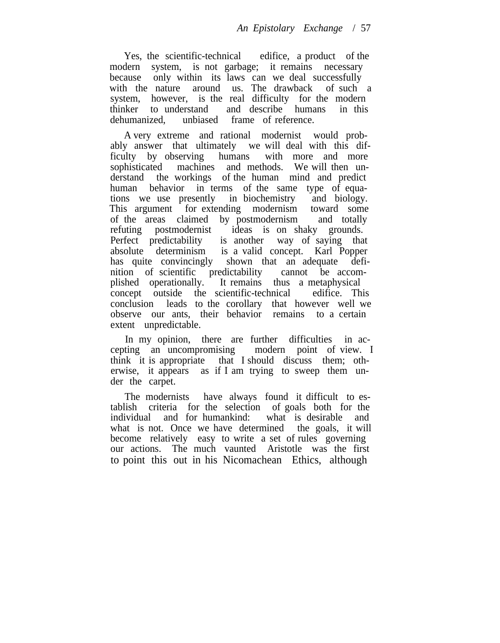Yes, the scientific-technical edifice, a product of the modern system, is not garbage; it remains necessary because only within its laws can we deal successfully with the nature around us. The drawback of such a system, however, is the real difficulty for the modern thinker to understand and describe humans in this dehumanized, unbiased frame of reference.

A very extreme and rational modernist would probably answer that ultimately we will deal with this difficulty by observing humans with more and more sophisticated machines and methods. We will then understand the workings of the human mind and predict human behavior in terms of the same type of equations we use presently in biochemistry and biology. This argument for extending modernism toward some of the areas claimed by postmodernism and totally refuting postmodernist ideas is on shaky grounds. Perfect predictability is another way of saying that absolute determinism is a valid concept. Karl Popper has quite convincingly shown that an adequate definition of scientific predictability cannot be accomplished operationally. It remains thus a metaphysical concept outside the scientific-technical edifice. This conclusion leads to the corollary that however well we observe our ants, their behavior remains to a certain extent unpredictable.

In my opinion, there are further difficulties in accepting an uncompromising modern point of view. I think it is appropriate that I should discuss them; otherwise, it appears as if I am trying to sweep them under the carpet.

The modernists have always found it difficult to establish criteria for the selection of goals both for the individual and for humankind: what is desirable and what is not. Once we have determined the goals, it will become relatively easy to write a set of rules governing our actions. The much vaunted Aristotle was the first to point this out in his Nicomachean Ethics, although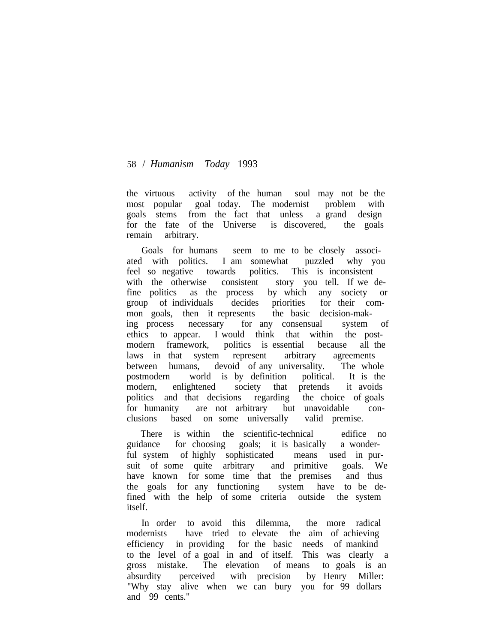the virtuous activity of the human soul may not be the most popular goal today. The modernist problem with goals stems from the fact that unless a grand design for the fate of the Universe is discovered, the goals remain arbitrary.

Goals for humans seem to me to be closely associated with politics. I am somewhat puzzled why you feel so negative towards politics. This is inconsistent with the otherwise consistent story you tell. If we define politics as the process by which any society or group of individuals decides priorities for their common goals, then it represents the basic decision-making process necessary for any consensual system of ethics to appear. I would think that within the postmodern framework, politics is essential because all the laws in that system represent arbitrary agreements between humans, devoid of any universality. The whole postmodern world is by definition political. It is the modern, enlightened society that pretends it avoids politics and that decisions regarding the choice of goals for humanity are not arbitrary but unavoidable conclusions based on some universally valid premise.

There is within the scientific-technical edifice no guidance for choosing goals; it is basically a wonderful system of highly sophisticated means used in pursuit of some quite arbitrary and primitive goals. We have known for some time that the premises and thus the goals for any functioning system have to be defined with the help of some criteria outside the system itself.

In order to avoid this dilemma, the more radical modernists have tried to elevate the aim of achieving efficiency in providing for the basic needs of mankind to the level of a goal in and of itself. This was clearly a gross mistake. The elevation of means to goals is an absurdity perceived with precision by Henry Miller: "Why stay alive when we can bury you for 99 dollars and 99 cents."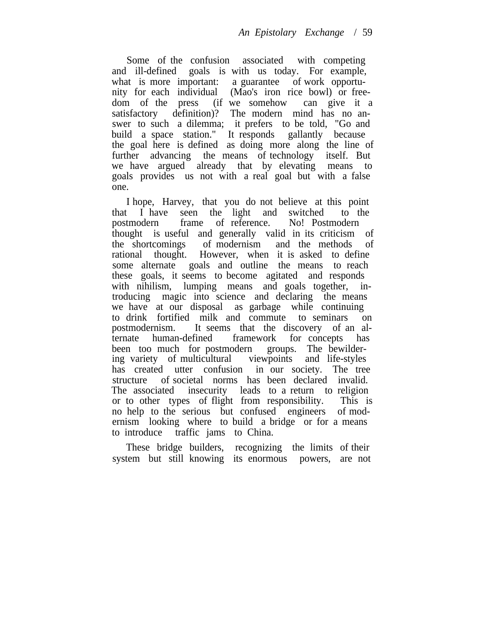Some of the confusion associated with competing and ill-defined goals is with us today. For example, what is more important: a guarantee of work opportunity for each individual (Mao's iron rice bowl) or freedom of the press (if we somehow can give it a satisfactory definition)? The modern mind has no answer to such a dilemma; it prefers to be told, "Go and build a space station." It responds gallantly because the goal here is defined as doing more along the line of further advancing the means of technology itself. But we have argued already that by elevating means to goals provides us not with a real goal but with a false one.

I hope, Harvey, that you do not believe at this point that I have seen the light and switched to the postmodern frame of reference. No! Postmodern thought is useful and generally valid in its criticism of the shortcomings of modernism and the methods of rational thought. However, when it is asked to define some alternate goals and outline the means to reach these goals, it seems to become agitated and responds with nihilism, lumping means and goals together, introducing magic into science and declaring the means we have at our disposal as garbage while continuing to drink fortified milk and commute to seminars on postmodernism. It seems that the discovery of an alternate human-defined framework for concepts has been too much for postmodern groups. The bewildering variety of multicultural viewpoints and life-styles has created utter confusion in our society. The tree structure of societal norms has been declared invalid. The associated insecurity leads to a return to religion or to other types of flight from responsibility. This is no help to the serious but confused engineers of modernism looking where to build a bridge or for a means to introduce traffic jams to China.

These bridge builders, recognizing the limits of their system but still knowing its enormous powers, are not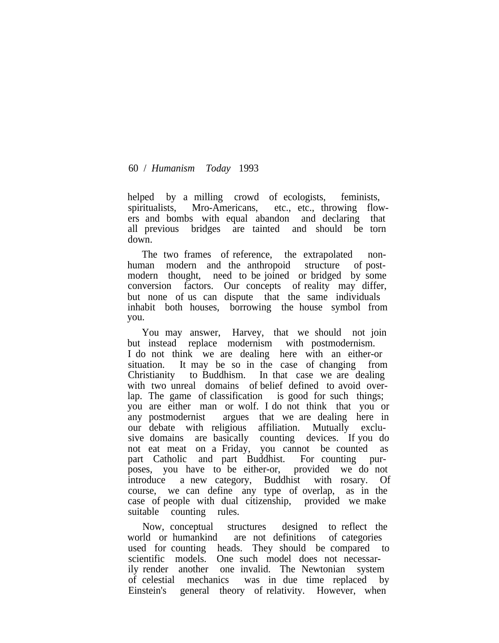helped by a milling crowd of ecologists, feminists, spiritualists, Mro-Americans, etc., etc., throwing flowers and bombs with equal abandon and declaring that all previous bridges are tainted and should be torn down.

The two frames of reference, the extrapolated nonhuman modern and the anthropoid structure of postmodern thought, need to be joined or bridged by some conversion factors. Our concepts of reality may differ, but none of us can dispute that the same individuals inhabit both houses, borrowing the house symbol from you.

You may answer, Harvey, that we should not join but instead replace modernism with postmodernism. I do not think we are dealing here with an either-or situation. It may be so in the case of changing from Christianity to Buddhism. In that case we are dealing with two unreal domains of belief defined to avoid overlap. The game of classification is good for such things; you are either man or wolf. I do not think that you or any postmodernist argues that we are dealing here in our debate with religious affiliation. Mutually exclusive domains are basically counting devices. If you do not eat meat on a Friday, you cannot be counted as part Catholic and part Buddhist. For counting purposes, you have to be either-or, provided we do not introduce a new category, Buddhist with rosary. Of course, we can define any type of overlap, as in the case of people with dual citizenship, provided we make suitable counting rules.

Now, conceptual structures designed to reflect the world or humankind are not definitions of categories used for counting heads. They should be compared to scientific models. One such model does not necessarily render another one invalid. The Newtonian system of celestial mechanics was in due time replaced by Einstein's general theory of relativity. However, when